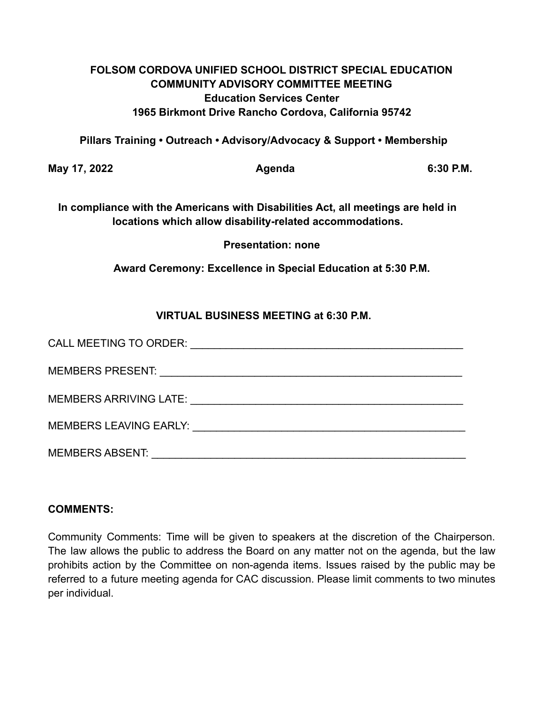## **FOLSOM CORDOVA UNIFIED SCHOOL DISTRICT SPECIAL EDUCATION COMMUNITY ADVISORY COMMITTEE MEETING Education Services Center 1965 Birkmont Drive Rancho Cordova, California 95742**

**Pillars Training • Outreach • Advisory/Advocacy & Support • Membership**

**May 17, 2022 Agenda 6:30 P.M.**

**In compliance with the Americans with Disabilities Act, all meetings are held in locations which allow disability-related accommodations.**

**Presentation: none**

**Award Ceremony: Excellence in Special Education at 5:30 P.M.**

# **VIRTUAL BUSINESS MEETING at 6:30 P.M.**

| CALL MEETING TO ORDER:<br><u> 1989 - John Stein, Amerikaansk konstantinopler († 1989)</u>                                                                                                                                     |
|-------------------------------------------------------------------------------------------------------------------------------------------------------------------------------------------------------------------------------|
|                                                                                                                                                                                                                               |
| MEMBERS ARRIVING LATE: WE ARRIVE AND THE SERVICE OF THE SERVICE OF THE SERVICE OF THE SERVICE OF THE SERVICE O                                                                                                                |
| MEMBERS LEAVING EARLY: WELL ARE AN ARRIVED AND THE MEMORY OF THE SAME AND THE SAME OF THE SAME OF THE SAME OF THE SAME OF THE SAME OF THE SAME OF THE SAME OF THE SAME OF THE SAME OF THE SAME OF THE SAME OF THE SAME OF THE |
| <b>MEMBERS ABSENT:</b>                                                                                                                                                                                                        |

### **COMMENTS:**

Community Comments: Time will be given to speakers at the discretion of the Chairperson. The law allows the public to address the Board on any matter not on the agenda, but the law prohibits action by the Committee on non-agenda items. Issues raised by the public may be referred to a future meeting agenda for CAC discussion. Please limit comments to two minutes per individual.